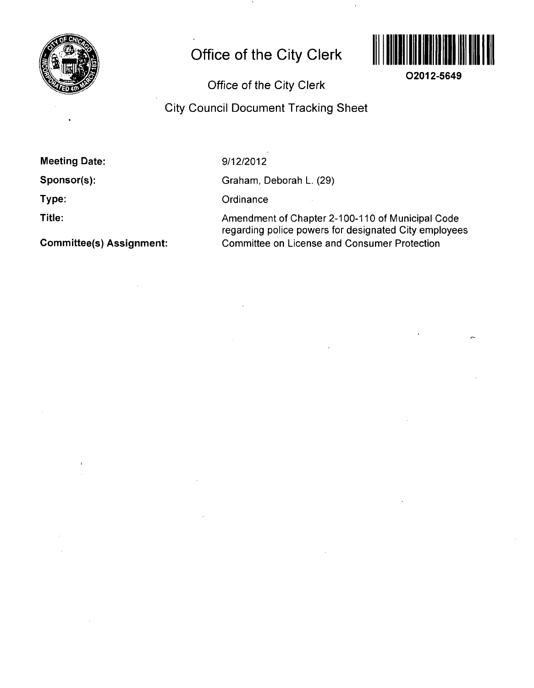

## **Office of the City Clerk**



**O2012-5649** 

**Office of the City Clerk** 

**City Council Document Tracking Sheet** 

| <b>Meeting Date:</b> |  |
|----------------------|--|
|----------------------|--|

**Sponsor(s):** 

**Type:** 

**Title:** 

**Committee(s) Assignment:** 

9/12/2012

Graham, Deborah L. (29)

 $\sim 1$ 

**Ordinance** 

Amendment of Chapter 2-100-110 of Municipal Code regarding police powers for designated City employees Committee on License and Consumer Protection